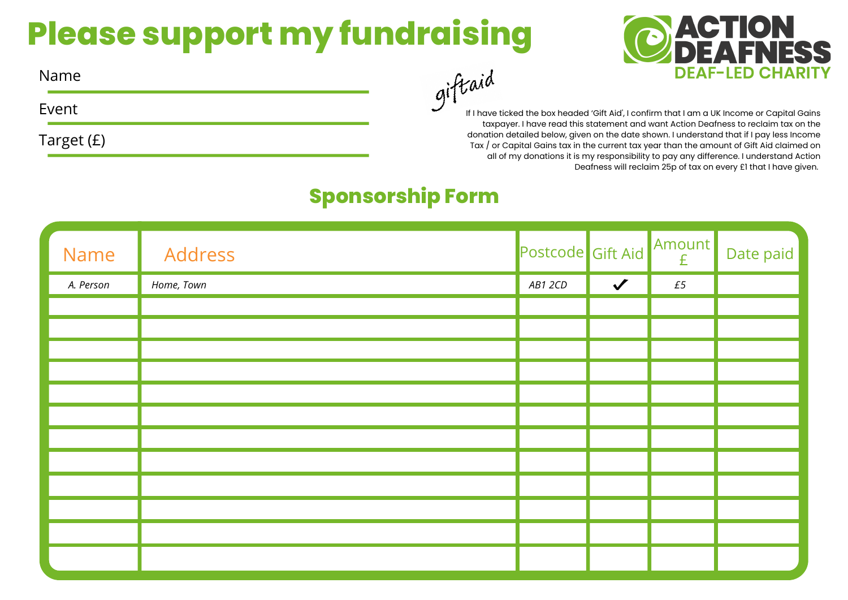## **Please support my fundraising**



Name

Event

Target (£)

taxpayer. I have read this statement and want Action Deafness to reclaim tax on the donation detailed below, given on the date shown. I understand that if I pay less Income Tax / or Capital Gains tax in the current tax year than the amount of Gift Aid claimed on all of my donations it is my responsibility to pay any difference. I understand Action Deafness will reclaim 25p of tax on every £1 that I have given.

## **Sponsorship Form**

| Name      | Address    | Postcode Gift Aid |              | Amount<br>£ | Date paid |
|-----------|------------|-------------------|--------------|-------------|-----------|
| A. Person | Home, Town | AB1 2CD           | $\checkmark$ | £5          |           |
|           |            |                   |              |             |           |
|           |            |                   |              |             |           |
|           |            |                   |              |             |           |
|           |            |                   |              |             |           |
|           |            |                   |              |             |           |
|           |            |                   |              |             |           |
|           |            |                   |              |             |           |
|           |            |                   |              |             |           |
|           |            |                   |              |             |           |
|           |            |                   |              |             |           |
|           |            |                   |              |             |           |
|           |            |                   |              |             |           |